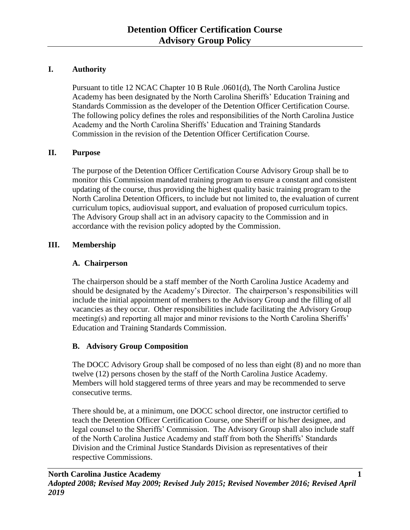# **I. Authority**

Pursuant to title 12 NCAC Chapter 10 B Rule .0601(d), The North Carolina Justice Academy has been designated by the North Carolina Sheriffs' Education Training and Standards Commission as the developer of the Detention Officer Certification Course. The following policy defines the roles and responsibilities of the North Carolina Justice Academy and the North Carolina Sheriffs' Education and Training Standards Commission in the revision of the Detention Officer Certification Course.

# **II. Purpose**

The purpose of the Detention Officer Certification Course Advisory Group shall be to monitor this Commission mandated training program to ensure a constant and consistent updating of the course, thus providing the highest quality basic training program to the North Carolina Detention Officers, to include but not limited to, the evaluation of current curriculum topics, audiovisual support, and evaluation of proposed curriculum topics. The Advisory Group shall act in an advisory capacity to the Commission and in accordance with the revision policy adopted by the Commission.

# **III. Membership**

## **A. Chairperson**

The chairperson should be a staff member of the North Carolina Justice Academy and should be designated by the Academy's Director. The chairperson's responsibilities will include the initial appointment of members to the Advisory Group and the filling of all vacancies as they occur. Other responsibilities include facilitating the Advisory Group meeting(s) and reporting all major and minor revisions to the North Carolina Sheriffs' Education and Training Standards Commission.

## **B. Advisory Group Composition**

The DOCC Advisory Group shall be composed of no less than eight (8) and no more than twelve (12) persons chosen by the staff of the North Carolina Justice Academy. Members will hold staggered terms of three years and may be recommended to serve consecutive terms.

There should be, at a minimum, one DOCC school director, one instructor certified to teach the Detention Officer Certification Course, one Sheriff or his/her designee, and legal counsel to the Sheriffs' Commission. The Advisory Group shall also include staff of the North Carolina Justice Academy and staff from both the Sheriffs' Standards Division and the Criminal Justice Standards Division as representatives of their respective Commissions.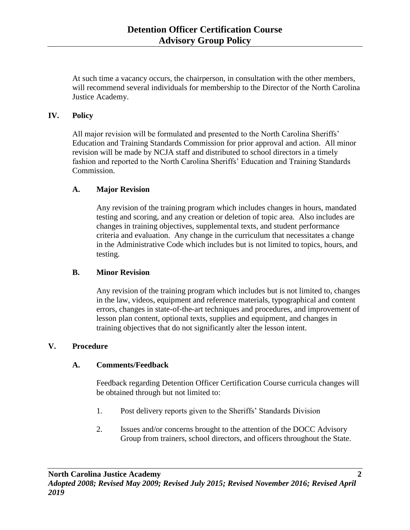At such time a vacancy occurs, the chairperson, in consultation with the other members, will recommend several individuals for membership to the Director of the North Carolina Justice Academy.

## **IV. Policy**

All major revision will be formulated and presented to the North Carolina Sheriffs' Education and Training Standards Commission for prior approval and action. All minor revision will be made by NCJA staff and distributed to school directors in a timely fashion and reported to the North Carolina Sheriffs' Education and Training Standards Commission.

#### **A. Major Revision**

Any revision of the training program which includes changes in hours, mandated testing and scoring, and any creation or deletion of topic area. Also includes are changes in training objectives, supplemental texts, and student performance criteria and evaluation. Any change in the curriculum that necessitates a change in the Administrative Code which includes but is not limited to topics, hours, and testing.

#### **B. Minor Revision**

Any revision of the training program which includes but is not limited to, changes in the law, videos, equipment and reference materials, typographical and content errors, changes in state-of-the-art techniques and procedures, and improvement of lesson plan content, optional texts, supplies and equipment, and changes in training objectives that do not significantly alter the lesson intent.

#### **V. Procedure**

#### **A. Comments/Feedback**

Feedback regarding Detention Officer Certification Course curricula changes will be obtained through but not limited to:

- 1. Post delivery reports given to the Sheriffs' Standards Division
- 2. Issues and/or concerns brought to the attention of the DOCC Advisory Group from trainers, school directors, and officers throughout the State.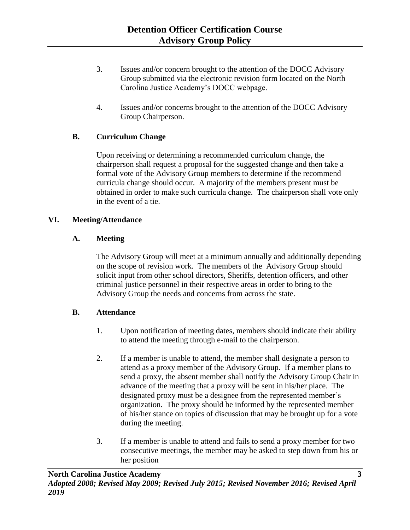- 3. Issues and/or concern brought to the attention of the DOCC Advisory Group submitted via the electronic revision form located on the North Carolina Justice Academy's DOCC webpage.
- 4. Issues and/or concerns brought to the attention of the DOCC Advisory Group Chairperson.

## **B. Curriculum Change**

Upon receiving or determining a recommended curriculum change, the chairperson shall request a proposal for the suggested change and then take a formal vote of the Advisory Group members to determine if the recommend curricula change should occur. A majority of the members present must be obtained in order to make such curricula change. The chairperson shall vote only in the event of a tie.

### **VI. Meeting/Attendance**

### **A. Meeting**

The Advisory Group will meet at a minimum annually and additionally depending on the scope of revision work. The members of the Advisory Group should solicit input from other school directors, Sheriffs, detention officers, and other criminal justice personnel in their respective areas in order to bring to the Advisory Group the needs and concerns from across the state.

## **B. Attendance**

- 1. Upon notification of meeting dates, members should indicate their ability to attend the meeting through e-mail to the chairperson.
- 2. If a member is unable to attend, the member shall designate a person to attend as a proxy member of the Advisory Group. If a member plans to send a proxy, the absent member shall notify the Advisory Group Chair in advance of the meeting that a proxy will be sent in his/her place. The designated proxy must be a designee from the represented member's organization. The proxy should be informed by the represented member of his/her stance on topics of discussion that may be brought up for a vote during the meeting.
- 3. If a member is unable to attend and fails to send a proxy member for two consecutive meetings, the member may be asked to step down from his or her position